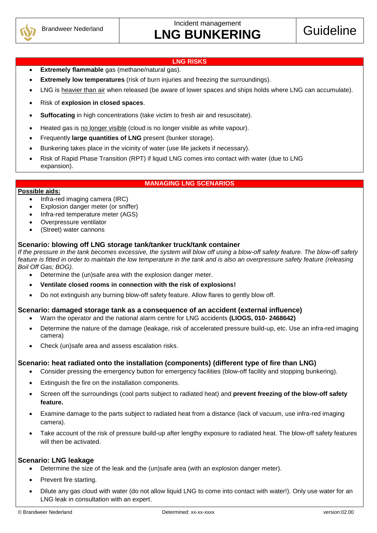

#### **LNG RISKS**

- **Extremely flammable** gas (methane/natural gas).
- **Extremely low temperatures** (risk of burn injuries and freezing the surroundings).
- LNG is heavier than air when released (be aware of lower spaces and ships holds where LNG can accumulate).
- Risk of **explosion in closed spaces**.
- **Suffocating** in high concentrations (take victim to fresh air and resuscitate).
- Heated gas is no longer visible (cloud is no longer visible as white vapour).
- Frequently **large quantities of LNG** present (bunker storage).
- Bunkering takes place in the vicinity of water (use life jackets if necessary).
- Risk of Rapid Phase Transition (RPT) if liquid LNG comes into contact with water (due to LNG expansion).

#### **MANAGING LNG SCENARIOS**

#### **Possible aids:**

- Infra-red imaging camera (IRC)
- Explosion danger meter (or sniffer)
- Infra-red temperature meter (AGS)
- Overpressure ventilator
- (Street) water cannons

# **Scenario: blowing off LNG storage tank/tanker truck/tank container**

*If the pressure in the tank becomes excessive, the system will blow off using a blow-off safety feature. The blow-off safety feature is fitted in order to maintain the low temperature in the tank and is also an overpressure safety feature (releasing Boil Off Gas; BOG).*

- Determine the (un)safe area with the explosion danger meter.
- **Ventilate closed rooms in connection with the risk of explosions!**
- Do not extinguish any burning blow-off safety feature. Allow flares to gently blow off.

# **Scenario: damaged storage tank as a consequence of an accident (external influence)**

- Warn the operator and the national alarm centre for LNG accidents **(LIOGS, 010- 2468642)**
- Determine the nature of the damage (leakage, risk of accelerated pressure build-up, etc. Use an infra-red imaging camera)
- Check (un)safe area and assess escalation risks.

# **Scenario: heat radiated onto the installation (components) (different type of fire than LNG)**

- Consider pressing the emergency button for emergency facilities (blow-off facility and stopping bunkering).
- Extinguish the fire on the installation components.
- Screen off the surroundings (cool parts subject to radiated heat) and **prevent freezing of the blow-off safety feature.**
- Examine damage to the parts subject to radiated heat from a distance (lack of vacuum, use infra-red imaging camera).
- Take account of the risk of pressure build-up after lengthy exposure to radiated heat. The blow-off safety features will then be activated.

# **Scenario: LNG leakage**

- Determine the size of the leak and the (un)safe area (with an explosion danger meter).
- Prevent fire starting.
- Dilute any gas cloud with water (do not allow liquid LNG to come into contact with water!). Only use water for an LNG leak in consultation with an expert.